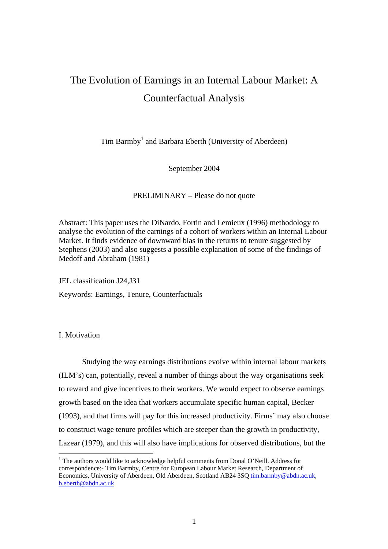# The Evolution of Earnings in an Internal Labour Market: A Counterfactual Analysis

Tim Barmby<sup>[1](#page-0-0)</sup> and Barbara Eberth (University of Aberdeen)

September 2004

PRELIMINARY – Please do not quote

Abstract: This paper uses the DiNardo, Fortin and Lemieux (1996) methodology to analyse the evolution of the earnings of a cohort of workers within an Internal Labour Market. It finds evidence of downward bias in the returns to tenure suggested by Stephens (2003) and also suggests a possible explanation of some of the findings of Medoff and Abraham (1981)

JEL classification J24,J31

Keywords: Earnings, Tenure, Counterfactuals

I. Motivation

 $\overline{a}$ 

Studying the way earnings distributions evolve within internal labour markets (ILM's) can, potentially, reveal a number of things about the way organisations seek to reward and give incentives to their workers. We would expect to observe earnings growth based on the idea that workers accumulate specific human capital, Becker (1993), and that firms will pay for this increased productivity. Firms' may also choose to construct wage tenure profiles which are steeper than the growth in productivity, Lazear (1979), and this will also have implications for observed distributions, but the

<span id="page-0-0"></span><sup>&</sup>lt;sup>1</sup> The authors would like to acknowledge helpful comments from Donal O'Neill. Address for correspondence:- Tim Barmby, Centre for European Labour Market Research, Department of Economics, University of Aberdeen, Old Aberdeen, Scotland AB24 3SQ [tim.barmby@abdn.ac.uk](mailto:tim.barmby@abdn.ac.uk), [b.eberth@abdn.ac.uk](mailto:b.eberth@abdn.ac.uk)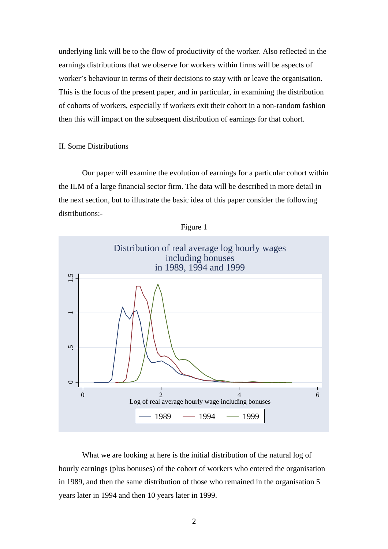underlying link will be to the flow of productivity of the worker. Also reflected in the earnings distributions that we observe for workers within firms will be aspects of worker's behaviour in terms of their decisions to stay with or leave the organisation. This is the focus of the present paper, and in particular, in examining the distribution of cohorts of workers, especially if workers exit their cohort in a non-random fashion then this will impact on the subsequent distribution of earnings for that cohort.

## II. Some Distributions

Our paper will examine the evolution of earnings for a particular cohort within the ILM of a large financial sector firm. The data will be described in more detail in the next section, but to illustrate the basic idea of this paper consider the following distributions:-





What we are looking at here is the initial distribution of the natural log of hourly earnings (plus bonuses) of the cohort of workers who entered the organisation in 1989, and then the same distribution of those who remained in the organisation 5 years later in 1994 and then 10 years later in 1999.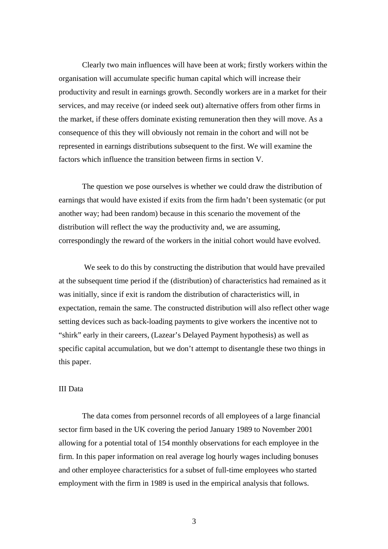Clearly two main influences will have been at work; firstly workers within the organisation will accumulate specific human capital which will increase their productivity and result in earnings growth. Secondly workers are in a market for their services, and may receive (or indeed seek out) alternative offers from other firms in the market, if these offers dominate existing remuneration then they will move. As a consequence of this they will obviously not remain in the cohort and will not be represented in earnings distributions subsequent to the first. We will examine the factors which influence the transition between firms in section V.

The question we pose ourselves is whether we could draw the distribution of earnings that would have existed if exits from the firm hadn't been systematic (or put another way; had been random) because in this scenario the movement of the distribution will reflect the way the productivity and, we are assuming, correspondingly the reward of the workers in the initial cohort would have evolved.

 We seek to do this by constructing the distribution that would have prevailed at the subsequent time period if the (distribution) of characteristics had remained as it was initially, since if exit is random the distribution of characteristics will, in expectation, remain the same. The constructed distribution will also reflect other wage setting devices such as back-loading payments to give workers the incentive not to "shirk" early in their careers, (Lazear's Delayed Payment hypothesis) as well as specific capital accumulation, but we don't attempt to disentangle these two things in this paper.

## III Data

The data comes from personnel records of all employees of a large financial sector firm based in the UK covering the period January 1989 to November 2001 allowing for a potential total of 154 monthly observations for each employee in the firm. In this paper information on real average log hourly wages including bonuses and other employee characteristics for a subset of full-time employees who started employment with the firm in 1989 is used in the empirical analysis that follows.

3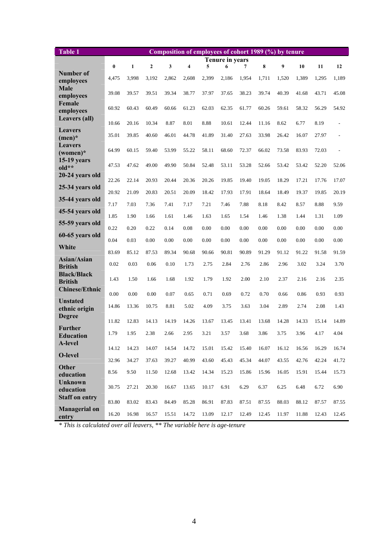| <b>Table 1</b>                       |          |                 |                |       | Composition of employees of cohort 1989 (%) by tenure |       |       |       |       |       |       |       |       |
|--------------------------------------|----------|-----------------|----------------|-------|-------------------------------------------------------|-------|-------|-------|-------|-------|-------|-------|-------|
|                                      |          | Tenure in years |                |       |                                                       |       |       |       |       |       |       |       |       |
| Number of                            | $\bf{0}$ | $\mathbf{1}$    | $\overline{2}$ | 3     | $\overline{\mathbf{4}}$                               | 5     | 6     | 7     | 8     | 9     | 10    | 11    | 12    |
| employees                            | 4,475    | 3.998           | 3,192          | 2,862 | 2,608                                                 | 2,399 | 2,186 | 1.954 | 1,711 | 1,520 | 1,389 | 1,295 | 1,189 |
| <b>Male</b><br>employees             | 39.08    | 39.57           | 39.51          | 39.34 | 38.77                                                 | 37.97 | 37.65 | 38.23 | 39.74 | 40.39 | 41.68 | 43.71 | 45.08 |
| Female<br>employees                  | 60.92    | 60.43           | 60.49          | 60.66 | 61.23                                                 | 62.03 | 62.35 | 61.77 | 60.26 | 59.61 | 58.32 | 56.29 | 54.92 |
| Leavers (all)                        | 10.66    | 20.16           | 10.34          | 8.87  | 8.01                                                  | 8.88  | 10.61 | 12.44 | 11.16 | 8.62  | 6.77  | 8.19  |       |
| <b>Leavers</b><br>$(men)*$           | 35.01    | 39.85           | 40.60          | 46.01 | 44.78                                                 | 41.89 | 31.40 | 27.63 | 33.98 | 26.42 | 16.07 | 27.97 |       |
| <b>Leavers</b><br>$(women)*$         | 64.99    | 60.15           | 59.40          | 53.99 | 55.22                                                 | 58.11 | 68.60 | 72.37 | 66.02 | 73.58 | 83.93 | 72.03 |       |
| <b>15-19 years</b><br>$old**$        | 47.53    | 47.62           | 49.00          | 49.90 | 50.84                                                 | 52.48 | 53.11 | 53.28 | 52.66 | 53.42 | 53.42 | 52.20 | 52.06 |
| 20-24 years old                      | 22.26    | 22.14           | 20.93          | 20.44 | 20.36                                                 | 20.26 | 19.85 | 19.40 | 19.05 | 18.29 | 17.21 | 17.76 | 17.07 |
| 25-34 years old                      | 20.92    | 21.09           | 20.83          | 20.51 | 20.09                                                 | 18.42 | 17.93 | 17.91 | 18.64 | 18.49 | 19.37 | 19.85 | 20.19 |
| 35-44 years old                      | 7.17     | 7.03            | 7.36           | 7.41  | 7.17                                                  | 7.21  | 7.46  | 7.88  | 8.18  | 8.42  | 8.57  | 8.88  | 9.59  |
| 45-54 years old                      | 1.85     | 1.90            | 1.66           | 1.61  | 1.46                                                  | 1.63  | 1.65  | 1.54  | 1.46  | 1.38  | 1.44  | 1.31  | 1.09  |
| 55-59 years old                      | 0.22     | 0.20            | 0.22           | 0.14  | 0.08                                                  | 0.00  | 0.00  | 0.00  | 0.00  | 0.00  | 0.00  | 0.00  | 0.00  |
| 60-65 years old                      | 0.04     | 0.03            | 0.00           | 0.00  | 0.00                                                  | 0.00  | 0.00  | 0.00  | 0.00  | 0.00  | 0.00  | 0.00  | 0.00  |
| White                                | 83.69    | 85.12           | 87.53          | 89.34 | 90.68                                                 | 90.66 | 90.81 | 90.89 | 91.29 | 91.12 | 91.22 | 91.58 | 91.59 |
| Asian/Asian<br><b>British</b>        | 0.02     | 0.03            | 0.06           | 0.10  | 1.73                                                  | 2.75  | 2.84  | 2.76  | 2.86  | 2.96  | 3.02  | 3.24  | 3.70  |
| <b>Black/Black</b><br><b>British</b> | 1.43     | 1.50            | 1.66           | 1.68  | 1.92                                                  | 1.79  | 1.92  | 2.00  | 2.10  | 2.37  | 2.16  | 2.16  | 2.35  |
| <b>Chinese/Ethnic</b>                | 0.00     | 0.00            | 0.00           | 0.07  | 0.65                                                  | 0.71  | 0.69  | 0.72  | 0.70  | 0.66  | 0.86  | 0.93  | 0.93  |
| <b>Unstated</b><br>ethnic origin     | 14.86    | 13.36           | 10.75          | 8.81  | 5.02                                                  | 4.09  | 3.75  | 3.63  | 3.04  | 2.89  | 2.74  | 2.08  | 1.43  |
| <b>Degree</b>                        | 11.82    | 12.83           | 14.13          | 14.19 | 14.26                                                 | 13.67 | 13.45 | 13.41 | 13.68 | 14.28 | 14.33 | 15.14 | 14.89 |
| <b>Further</b><br>Education          | 1.79     | 1.95            | 2.38           | 2.66  | 2.95                                                  | 3.21  | 3.57  | 3.68  | 3.86  | 3.75  | 3.96  | 4.17  | 4.04  |
| <b>A-level</b>                       | 14.12    | 14.23           | 14.07          | 14.54 | 14.72                                                 | 15.01 | 15.42 | 15.40 | 16.07 | 16.12 | 16.56 | 16.29 | 16.74 |
| O-level                              | 32.96    | 34.27           | 37.63          | 39.27 | 40.99                                                 | 43.60 | 45.43 | 45.34 | 44.07 | 43.55 | 42.76 | 42.24 | 41.72 |
| Other<br>education                   | 8.56     | 9.50            | 11.50          | 12.68 | 13.42                                                 | 14.34 | 15.23 | 15.86 | 15.96 | 16.05 | 15.91 | 15.44 | 15.73 |
| <b>Unknown</b><br>education          | 30.75    | 27.21           | 20.30          | 16.67 | 13.65                                                 | 10.17 | 6.91  | 6.29  | 6.37  | 6.25  | 6.48  | 6.72  | 6.90  |
| <b>Staff on entry</b>                | 83.80    | 83.02           | 83.43          | 84.49 | 85.28                                                 | 86.91 | 87.83 | 87.51 | 87.55 | 88.03 | 88.12 | 87.57 | 87.55 |
| <b>Managerial on</b><br>entry        | 16.20    | 16.98           | 16.57          | 15.51 | 14.72                                                 | 13.09 | 12.17 | 12.49 | 12.45 | 11.97 | 11.88 | 12.43 | 12.45 |

*\* This is calculated over all leavers, \*\* The variable here is age-tenure*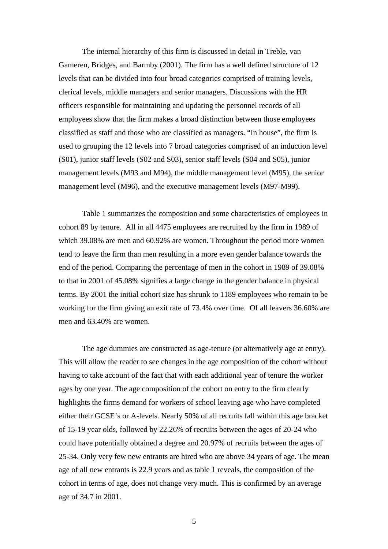The internal hierarchy of this firm is discussed in detail in Treble, van Gameren, Bridges, and Barmby (2001). The firm has a well defined structure of 12 levels that can be divided into four broad categories comprised of training levels, clerical levels, middle managers and senior managers. Discussions with the HR officers responsible for maintaining and updating the personnel records of all employees show that the firm makes a broad distinction between those employees classified as staff and those who are classified as managers. "In house", the firm is used to grouping the 12 levels into 7 broad categories comprised of an induction level (S01), junior staff levels (S02 and S03), senior staff levels (S04 and S05), junior management levels (M93 and M94), the middle management level (M95), the senior management level (M96), and the executive management levels (M97-M99).

Table 1 summarizes the composition and some characteristics of employees in cohort 89 by tenure. All in all 4475 employees are recruited by the firm in 1989 of which 39.08% are men and 60.92% are women. Throughout the period more women tend to leave the firm than men resulting in a more even gender balance towards the end of the period. Comparing the percentage of men in the cohort in 1989 of 39.08% to that in 2001 of 45.08% signifies a large change in the gender balance in physical terms. By 2001 the initial cohort size has shrunk to 1189 employees who remain to be working for the firm giving an exit rate of 73.4% over time. Of all leavers 36.60% are men and 63.40% are women.

The age dummies are constructed as age-tenure (or alternatively age at entry). This will allow the reader to see changes in the age composition of the cohort without having to take account of the fact that with each additional year of tenure the worker ages by one year. The age composition of the cohort on entry to the firm clearly highlights the firms demand for workers of school leaving age who have completed either their GCSE's or A-levels. Nearly 50% of all recruits fall within this age bracket of 15-19 year olds, followed by 22.26% of recruits between the ages of 20-24 who could have potentially obtained a degree and 20.97% of recruits between the ages of 25-34. Only very few new entrants are hired who are above 34 years of age. The mean age of all new entrants is 22.9 years and as table 1 reveals, the composition of the cohort in terms of age, does not change very much. This is confirmed by an average age of 34.7 in 2001.

5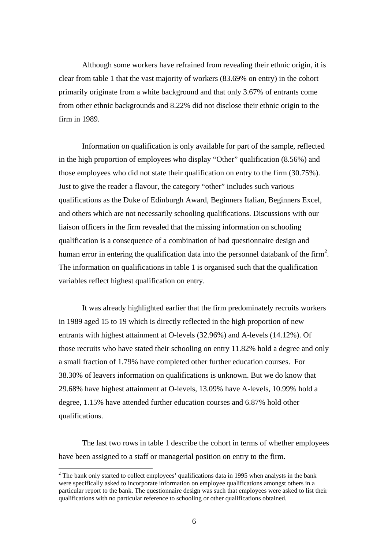Although some workers have refrained from revealing their ethnic origin, it is clear from table 1 that the vast majority of workers (83.69% on entry) in the cohort primarily originate from a white background and that only 3.67% of entrants come from other ethnic backgrounds and 8.22% did not disclose their ethnic origin to the firm in 1989.

Information on qualification is only available for part of the sample, reflected in the high proportion of employees who display "Other" qualification (8.56%) and those employees who did not state their qualification on entry to the firm (30.75%). Just to give the reader a flavour, the category "other" includes such various qualifications as the Duke of Edinburgh Award, Beginners Italian, Beginners Excel, and others which are not necessarily schooling qualifications. Discussions with our liaison officers in the firm revealed that the missing information on schooling qualification is a consequence of a combination of bad questionnaire design and human error in entering the qualification data into the personnel databank of the firm<sup>[2](#page-5-0)</sup>. The information on qualifications in table 1 is organised such that the qualification variables reflect highest qualification on entry.

It was already highlighted earlier that the firm predominately recruits workers in 1989 aged 15 to 19 which is directly reflected in the high proportion of new entrants with highest attainment at O-levels (32.96%) and A-levels (14.12%). Of those recruits who have stated their schooling on entry 11.82% hold a degree and only a small fraction of 1.79% have completed other further education courses. For 38.30% of leavers information on qualifications is unknown. But we do know that 29.68% have highest attainment at O-levels, 13.09% have A-levels, 10.99% hold a degree, 1.15% have attended further education courses and 6.87% hold other qualifications.

The last two rows in table 1 describe the cohort in terms of whether employees have been assigned to a staff or managerial position on entry to the firm.

 $\overline{a}$ 

<span id="page-5-0"></span> $2<sup>2</sup>$  The bank only started to collect employees' qualifications data in 1995 when analysts in the bank were specifically asked to incorporate information on employee qualifications amongst others in a particular report to the bank. The questionnaire design was such that employees were asked to list their qualifications with no particular reference to schooling or other qualifications obtained.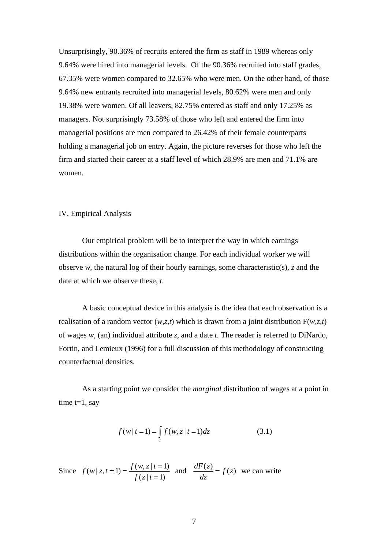Unsurprisingly, 90.36% of recruits entered the firm as staff in 1989 whereas only 9.64% were hired into managerial levels. Of the 90.36% recruited into staff grades, 67.35% were women compared to 32.65% who were men. On the other hand, of those 9.64% new entrants recruited into managerial levels, 80.62% were men and only 19.38% were women. Of all leavers, 82.75% entered as staff and only 17.25% as managers. Not surprisingly 73.58% of those who left and entered the firm into managerial positions are men compared to 26.42% of their female counterparts holding a managerial job on entry. Again, the picture reverses for those who left the firm and started their career at a staff level of which 28.9% are men and 71.1% are women.

## IV. Empirical Analysis

Our empirical problem will be to interpret the way in which earnings distributions within the organisation change. For each individual worker we will observe *w*, the natural log of their hourly earnings, some characteristic(s), *z* and the date at which we observe these, *t*.

A basic conceptual device in this analysis is the idea that each observation is a realisation of a random vector (*w,z,t*) which is drawn from a joint distribution F(*w,z,t*) of wages *w*, (an) individual attribute *z*, and a date *t*. The reader is referred to DiNardo, Fortin, and Lemieux (1996) for a full discussion of this methodology of constructing counterfactual densities.

As a starting point we consider the *marginal* distribution of wages at a point in time  $t=1$ , say

$$
f(w | t = 1) = \int_{z} f(w, z | t = 1) dz
$$
 (3.1)

Since  $f(w | z, t = 1) = \frac{f(w, z | t = 1)}{f(z | t = 1)}$  $f(x) = f(x, z | t = 1)$  and  $\frac{dF(z)}{dz} = f(z)$  we can write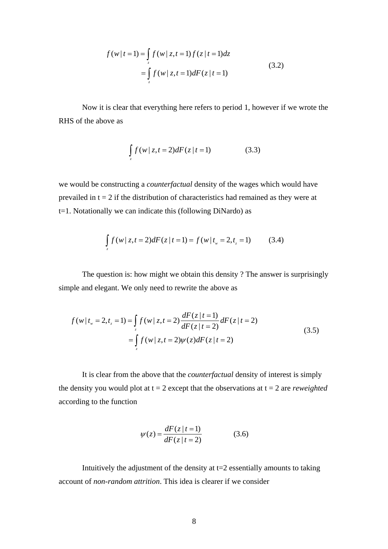$$
f(w | t = 1) = \int_{z} f(w | z, t = 1) f(z | t = 1) dz
$$
  
= 
$$
\int_{z} f(w | z, t = 1) dF(z | t = 1)
$$
 (3.2)

Now it is clear that everything here refers to period 1, however if we wrote the RHS of the above as

$$
\int_{z} f(w | z, t = 2) dF(z | t = 1)
$$
\n(3.3)

we would be constructing a *counterfactual* density of the wages which would have prevailed in  $t = 2$  if the distribution of characteristics had remained as they were at t=1. Notationally we can indicate this (following DiNardo) as

$$
\int_{z} f(w | z, t = 2) dF(z | t = 1) = f(w | t_w = 2, t_z = 1)
$$
 (3.4)

The question is: how might we obtain this density ? The answer is surprisingly simple and elegant. We only need to rewrite the above as

$$
f(w | t_w = 2, t_z = 1) = \int_{z} f(w | z, t = 2) \frac{dF(z | t = 1)}{dF(z | t = 2)} dF(z | t = 2)
$$
  
= 
$$
\int_{z} f(w | z, t = 2) \psi(z) dF(z | t = 2)
$$
 (3.5)

It is clear from the above that the *counterfactual* density of interest is simply the density you would plot at  $t = 2$  except that the observations at  $t = 2$  are *reweighted* according to the function

$$
\psi(z) = \frac{dF(z \mid t = 1)}{dF(z \mid t = 2)}\tag{3.6}
$$

Intuitively the adjustment of the density at  $t=2$  essentially amounts to taking account of *non-random attrition*. This idea is clearer if we consider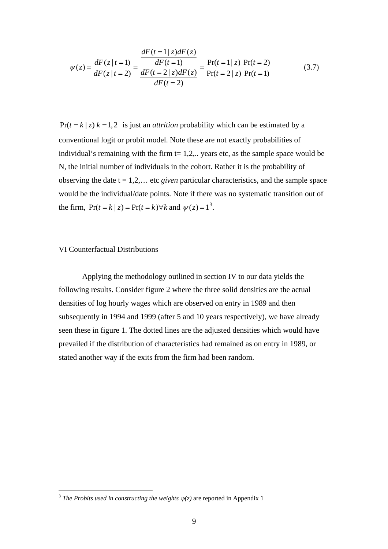$$
\psi(z) = \frac{dF(z \mid t=1)}{dF(z \mid t=2)} = \frac{\frac{dF(t=1 \mid z)dF(z)}{dF(t=1)}}{\frac{dF(t=2 \mid z)dF(z)}{dF(t=2)}} = \frac{\Pr(t=1 \mid z)}{\Pr(t=2 \mid z)} \frac{\Pr(t=2)}{\Pr(t=1)}
$$
(3.7)

 $Pr(t = k | z) k = 1,2$  is just an *attrition* probability which can be estimated by a conventional logit or probit model. Note these are not exactly probabilities of individual's remaining with the firm  $t= 1,2, \ldots$  years etc, as the sample space would be N, the initial number of individuals in the cohort. Rather it is the probability of observing the date  $t = 1, 2, \ldots$  etc *given* particular characteristics, and the sample space would be the individual/date points. Note if there was no systematic transition out of the firm,  $Pr(t = k | z) = Pr(t = k) \forall k$  and  $\psi(z) = 1^3$  $\psi(z) = 1^3$ .

## VI Counterfactual Distributions

 $\overline{a}$ 

Applying the methodology outlined in section IV to our data yields the following results. Consider figure 2 where the three solid densities are the actual densities of log hourly wages which are observed on entry in 1989 and then subsequently in 1994 and 1999 (after 5 and 10 years respectively), we have already seen these in figure 1. The dotted lines are the adjusted densities which would have prevailed if the distribution of characteristics had remained as on entry in 1989, or stated another way if the exits from the firm had been random.

<span id="page-8-0"></span><sup>&</sup>lt;sup>3</sup> *The Probits used in constructing the weights*  $\psi(z)$  are reported in Appendix 1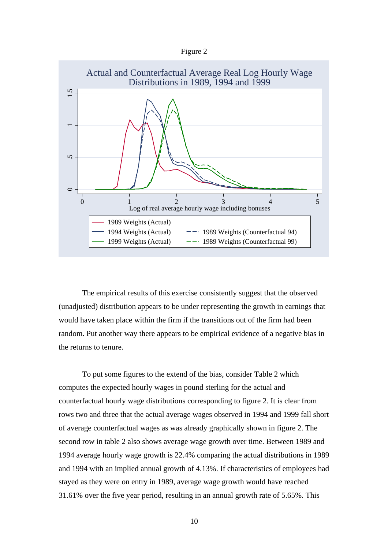| øur |  |
|-----|--|
|-----|--|



The empirical results of this exercise consistently suggest that the observed (unadjusted) distribution appears to be under representing the growth in earnings that would have taken place within the firm if the transitions out of the firm had been random. Put another way there appears to be empirical evidence of a negative bias in the returns to tenure.

To put some figures to the extend of the bias, consider Table 2 which computes the expected hourly wages in pound sterling for the actual and counterfactual hourly wage distributions corresponding to figure 2. It is clear from rows two and three that the actual average wages observed in 1994 and 1999 fall short of average counterfactual wages as was already graphically shown in figure 2. The second row in table 2 also shows average wage growth over time. Between 1989 and 1994 average hourly wage growth is 22.4% comparing the actual distributions in 1989 and 1994 with an implied annual growth of 4.13%. If characteristics of employees had stayed as they were on entry in 1989, average wage growth would have reached 31.61% over the five year period, resulting in an annual growth rate of 5.65%. This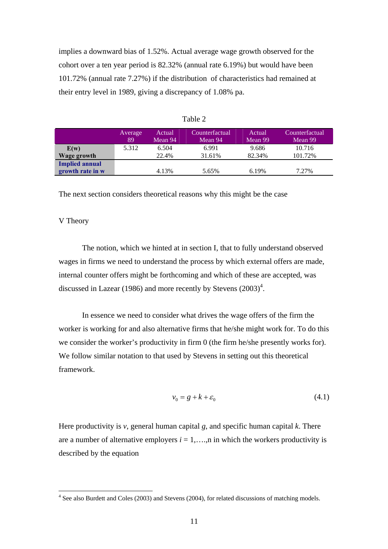implies a downward bias of 1.52%. Actual average wage growth observed for the cohort over a ten year period is 82.32% (annual rate 6.19%) but would have been 101.72% (annual rate 7.27%) if the distribution of characteristics had remained at their entry level in 1989, giving a discrepancy of 1.08% pa.

|                       | Average<br>89 | <b>Actual</b><br>Mean 94 | Counterfactual<br>Mean 94 | Actual<br>Mean 99 | Counterfactual<br>Mean 99 |
|-----------------------|---------------|--------------------------|---------------------------|-------------------|---------------------------|
| E(w)                  | 5.312         | 6.504                    | 6.991                     | 9.686             | 10.716                    |
| Wage growth           |               | 22.4%                    | 31.61%                    | 82.34%            | 101.72%                   |
| <b>Implied annual</b> |               |                          |                           |                   |                           |
| growth rate in w      |               | 4.13%                    | 5.65%                     | 6.19%             | 7.27%                     |

Table 2

The next section considers theoretical reasons why this might be the case

## V Theory

 $\overline{a}$ 

The notion, which we hinted at in section I, that to fully understand observed wages in firms we need to understand the process by which external offers are made, internal counter offers might be forthcoming and which of these are accepted, was discussed in Lazear (1986) and more recently by Stevens  $(2003)^4$  $(2003)^4$ .

In essence we need to consider what drives the wage offers of the firm the worker is working for and also alternative firms that he/she might work for. To do this we consider the worker's productivity in firm 0 (the firm he/she presently works for). We follow similar notation to that used by Stevens in setting out this theoretical framework.

$$
v_0 = g + k + \varepsilon_0 \tag{4.1}
$$

Here productivity is *v*, general human capital *g*, and specific human capital *k*. There are a number of alternative employers  $i = 1, \ldots, n$  in which the workers productivity is described by the equation

<span id="page-10-0"></span><sup>&</sup>lt;sup>4</sup> See also Burdett and Coles (2003) and Stevens (2004), for related discussions of matching models.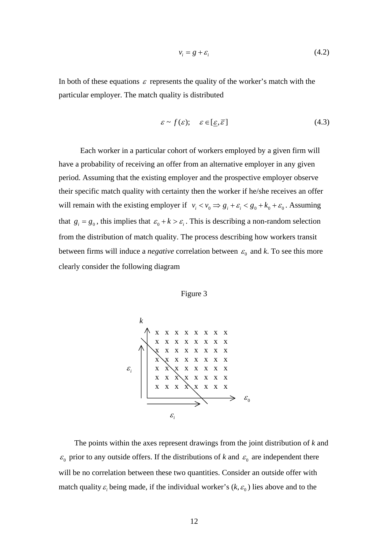$$
v_i = g + \varepsilon_i \tag{4.2}
$$

In both of these equations  $\varepsilon$  represents the quality of the worker's match with the particular employer. The match quality is distributed

$$
\varepsilon \sim f(\varepsilon); \quad \varepsilon \in [\underline{\varepsilon}, \overline{\varepsilon}] \tag{4.3}
$$

 Each worker in a particular cohort of workers employed by a given firm will have a probability of receiving an offer from an alternative employer in any given period. Assuming that the existing employer and the prospective employer observe their specific match quality with certainty then the worker if he/she receives an offer will remain with the existing employer if  $v_i < v_0 \Rightarrow g_i + \varepsilon_i < g_0 + k_0 + \varepsilon_0$ . Assuming that  $g_i = g_0$ , this implies that  $\varepsilon_0 + k > \varepsilon_i$ . This is describing a non-random selection from the distribution of match quality. The process describing how workers transit between firms will induce a *negative* correlation between  $\varepsilon_0$  and *k*. To see this more clearly consider the following diagram



The points within the axes represent drawings from the joint distribution of *k* and 
$$
\varepsilon_0
$$
 prior to any outside offers. If the distributions of *k* and  $\varepsilon_0$  are independent there will be no correlation between these two quantities. Consider an outside offer with match quality  $\varepsilon_i$  being made, if the individual worker's (*k*,  $\varepsilon_0$ ) lies above and to the

Figure 3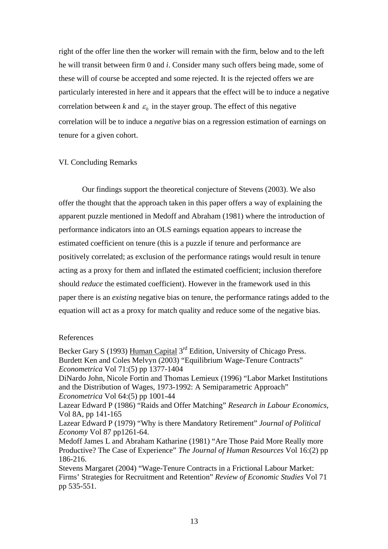right of the offer line then the worker will remain with the firm, below and to the left he will transit between firm 0 and *i*. Consider many such offers being made, some of these will of course be accepted and some rejected. It is the rejected offers we are particularly interested in here and it appears that the effect will be to induce a negative correlation between *k* and  $\varepsilon_0$  in the stayer group. The effect of this negative correlation will be to induce a *negative* bias on a regression estimation of earnings on tenure for a given cohort.

## VI. Concluding Remarks

Our findings support the theoretical conjecture of Stevens (2003). We also offer the thought that the approach taken in this paper offers a way of explaining the apparent puzzle mentioned in Medoff and Abraham (1981) where the introduction of performance indicators into an OLS earnings equation appears to increase the estimated coefficient on tenure (this is a puzzle if tenure and performance are positively correlated; as exclusion of the performance ratings would result in tenure acting as a proxy for them and inflated the estimated coefficient; inclusion therefore should *reduce* the estimated coefficient). However in the framework used in this paper there is an *existing* negative bias on tenure, the performance ratings added to the equation will act as a proxy for match quality and reduce some of the negative bias.

## References

Becker Gary S (1993) Human Capital 3<sup>rd</sup> Edition, University of Chicago Press. Burdett Ken and Coles Melvyn (2003) "Equilibrium Wage-Tenure Contracts" *Econometrica* Vol 71:(5) pp 1377-1404

DiNardo John, Nicole Fortin and Thomas Lemieux (1996) "Labor Market Institutions and the Distribution of Wages, 1973-1992: A Semiparametric Approach" *Econometrica* Vol 64:(5) pp 1001-44

Lazear Edward P (1986) "Raids and Offer Matching" *Research in Labour Economics*, Vol 8A, pp 141-165

Lazear Edward P (1979) "Why is there Mandatory Retirement" *Journal of Political Economy* Vol 87 pp1261-64.

Medoff James L and Abraham Katharine (1981) "Are Those Paid More Really more Productive? The Case of Experience" *The Journal of Human Resources* Vol 16:(2) pp 186-216.

Stevens Margaret (2004) "Wage-Tenure Contracts in a Frictional Labour Market: Firms' Strategies for Recruitment and Retention" *Review of Economic Studies* Vol 71 pp 535-551.